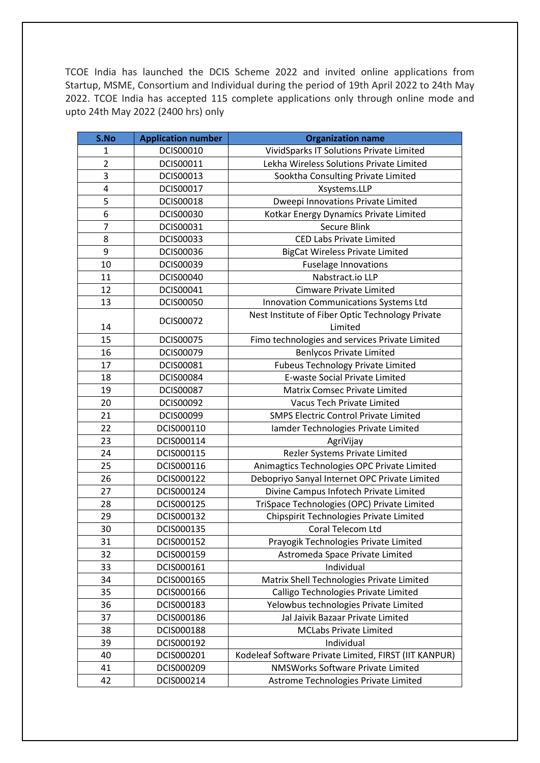TCOE India has launched the DCIS Scheme 2022 and invited online applications from Startup, MSME, Consortium and Individual during the period of 19th April 2022 to 24th May 2022. TCOE India has accepted 115 complete applications only through online mode and upto 24th May 2022 (2400 hrs) only

| S.No           | <b>Application number</b> | <b>Organization name</b>                                    |
|----------------|---------------------------|-------------------------------------------------------------|
| $\mathbf{1}$   | DCIS00010                 | VividSparks IT Solutions Private Limited                    |
| $\overline{2}$ | DCIS00011                 | Lekha Wireless Solutions Private Limited                    |
| 3              | DCIS00013                 | Sooktha Consulting Private Limited                          |
| $\pmb{4}$      | DCIS00017                 | Xsystems.LLP                                                |
| 5              | DCIS00018                 | Dweepi Innovations Private Limited                          |
| 6              | DCIS00030                 | Kotkar Energy Dynamics Private Limited                      |
| $\overline{7}$ | DCIS00031                 | Secure Blink                                                |
| 8              | DCIS00033                 | <b>CED Labs Private Limited</b>                             |
| 9              | DCIS00036                 | <b>BigCat Wireless Private Limited</b>                      |
| 10             | DCIS00039                 | <b>Fuselage Innovations</b>                                 |
| 11             | DCIS00040                 | Nabstract.io LLP                                            |
| 12             | DCIS00041                 | Cimware Private Limited                                     |
| 13             | DCIS00050                 | Innovation Communications Systems Ltd                       |
| 14             | DCIS00072                 | Nest Institute of Fiber Optic Technology Private<br>Limited |
| 15             | <b>DCIS00075</b>          | Fimo technologies and services Private Limited              |
| 16             | DCIS00079                 | <b>Benlycos Private Limited</b>                             |
| 17             | DCIS00081                 | <b>Fubeus Technology Private Limited</b>                    |
| 18             | DCIS00084                 | E-waste Social Private Limited                              |
| 19             | DCIS00087                 | <b>Matrix Comsec Private Limited</b>                        |
| 20             | DCIS00092                 | Vacus Tech Private Limited                                  |
| 21             | DCIS00099                 | <b>SMPS Electric Control Private Limited</b>                |
| 22             | DCIS000110                | lamder Technologies Private Limited                         |
| 23             | DCIS000114                | AgriVijay                                                   |
| 24             | DCIS000115                | Rezler Systems Private Limited                              |
| 25             | DCIS000116                | Animagtics Technologies OPC Private Limited                 |
| 26             | DCIS000122                | Debopriyo Sanyal Internet OPC Private Limited               |
| 27             | DCIS000124                | Divine Campus Infotech Private Limited                      |
| 28             | DCIS000125                | TriSpace Technologies (OPC) Private Limited                 |
| 29             | DCIS000132                | Chipspirit Technologies Private Limited                     |
| 30             | DCIS000135                | Coral Telecom Ltd                                           |
| 31             | DCIS000152                | Prayogik Technologies Private Limited                       |
| 32             | DCIS000159                | Astromeda Space Private Limited                             |
| 33             | DCIS000161                | Individual                                                  |
| 34             | DCIS000165                | Matrix Shell Technologies Private Limited                   |
| 35             | DCIS000166                | Calligo Technologies Private Limited                        |
| 36             | DCIS000183                | Yelowbus technologies Private Limited                       |
| 37             | DCIS000186                | Jal Jaivik Bazaar Private Limited                           |
| 38             | DCIS000188                | <b>MCLabs Private Limited</b>                               |
| 39             | DCIS000192                | Individual                                                  |
| 40             | DCIS000201                | Kodeleaf Software Private Limited, FIRST (IIT KANPUR)       |
| 41             | DCIS000209                | NMSWorks Software Private Limited                           |
| 42             | DCIS000214                | Astrome Technologies Private Limited                        |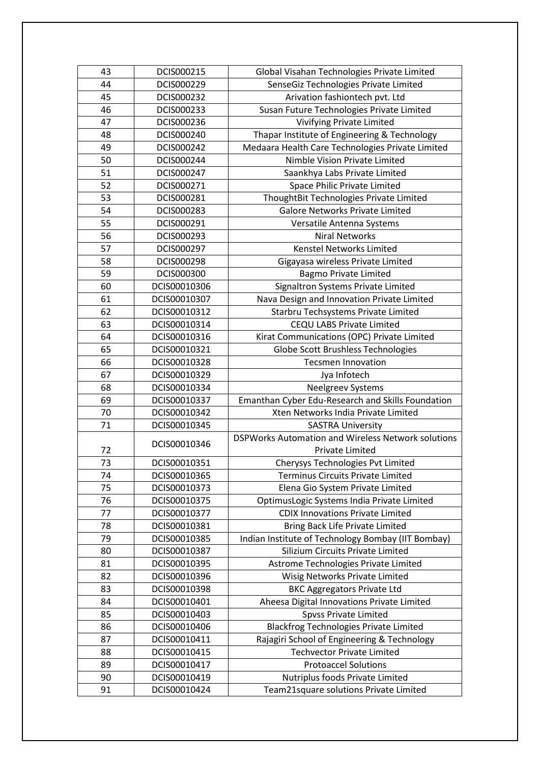| 43 | DCIS000215   | Global Visahan Technologies Private Limited               |
|----|--------------|-----------------------------------------------------------|
| 44 | DCIS000229   | SenseGiz Technologies Private Limited                     |
| 45 | DCIS000232   | Arivation fashiontech pvt. Ltd                            |
| 46 | DCIS000233   | Susan Future Technologies Private Limited                 |
| 47 | DCIS000236   | Vivifying Private Limited                                 |
| 48 | DCIS000240   | Thapar Institute of Engineering & Technology              |
| 49 | DCIS000242   | Medaara Health Care Technologies Private Limited          |
| 50 | DCIS000244   | Nimble Vision Private Limited                             |
| 51 | DCIS000247   | Saankhya Labs Private Limited                             |
| 52 | DCIS000271   | Space Philic Private Limited                              |
| 53 | DCIS000281   | ThoughtBit Technologies Private Limited                   |
| 54 | DCIS000283   | <b>Galore Networks Private Limited</b>                    |
| 55 | DCIS000291   | Versatile Antenna Systems                                 |
| 56 | DCIS000293   | <b>Niral Networks</b>                                     |
| 57 | DCIS000297   | Kenstel Networks Limited                                  |
| 58 | DCIS000298   | Gigayasa wireless Private Limited                         |
| 59 | DCIS000300   | <b>Bagmo Private Limited</b>                              |
| 60 | DCIS00010306 | Signaltron Systems Private Limited                        |
| 61 | DCIS00010307 | Nava Design and Innovation Private Limited                |
| 62 | DCIS00010312 | Starbru Techsystems Private Limited                       |
| 63 | DCIS00010314 | <b>CEQU LABS Private Limited</b>                          |
| 64 | DCIS00010316 | Kirat Communications (OPC) Private Limited                |
| 65 | DCIS00010321 | Globe Scott Brushless Technologies                        |
| 66 | DCIS00010328 | <b>Tecsmen Innovation</b>                                 |
| 67 | DCIS00010329 | Jya Infotech                                              |
| 68 | DCIS00010334 | Neelgreev Systems                                         |
| 69 | DCIS00010337 | Emanthan Cyber Edu-Research and Skills Foundation         |
| 70 | DCIS00010342 | Xten Networks India Private Limited                       |
| 71 | DCIS00010345 | <b>SASTRA University</b>                                  |
|    | DCIS00010346 | <b>DSPWorks Automation and Wireless Network solutions</b> |
| 72 |              | <b>Private Limited</b>                                    |
| 73 | DCIS00010351 | Cherysys Technologies Pvt Limited                         |
| 74 | DCIS00010365 | Terminus Circuits Private Limited                         |
| 75 | DCIS00010373 | Elena Gio System Private Limited                          |
| 76 | DCIS00010375 | OptimusLogic Systems India Private Limited                |
| 77 | DCIS00010377 | <b>CDIX Innovations Private Limited</b>                   |
| 78 | DCIS00010381 | Bring Back Life Private Limited                           |
| 79 | DCIS00010385 | Indian Institute of Technology Bombay (IIT Bombay)        |
| 80 | DCIS00010387 | Silizium Circuits Private Limited                         |
| 81 | DCIS00010395 | Astrome Technologies Private Limited                      |
| 82 | DCIS00010396 | Wisig Networks Private Limited                            |
| 83 | DCIS00010398 | <b>BKC Aggregators Private Ltd</b>                        |
| 84 | DCIS00010401 | Aheesa Digital Innovations Private Limited                |
| 85 | DCIS00010403 | <b>Spvss Private Limited</b>                              |
| 86 | DCIS00010406 | <b>Blackfrog Technologies Private Limited</b>             |
| 87 | DCIS00010411 | Rajagiri School of Engineering & Technology               |
| 88 | DCIS00010415 | <b>Techvector Private Limited</b>                         |
| 89 | DCIS00010417 | <b>Protoaccel Solutions</b>                               |
| 90 | DCIS00010419 | Nutriplus foods Private Limited                           |
| 91 | DCIS00010424 | Team21square solutions Private Limited                    |